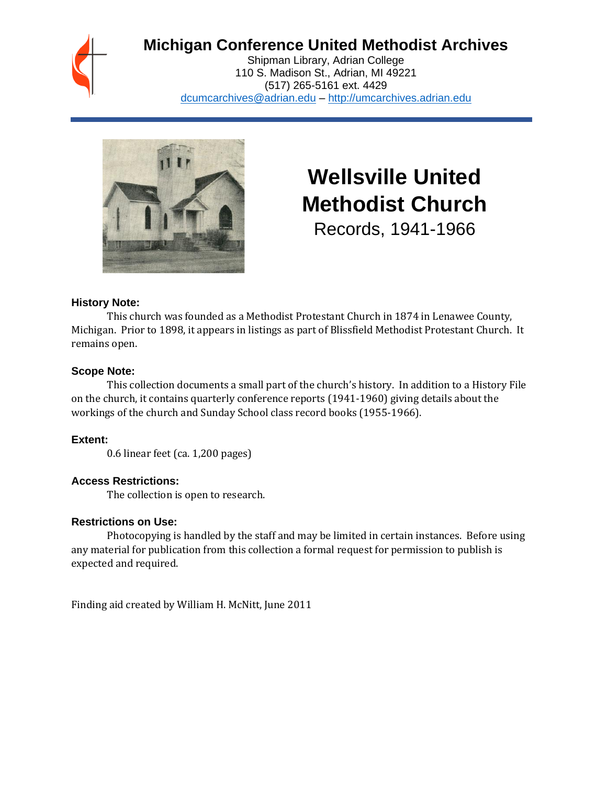## **Michigan Conference United Methodist Archives**

Shipman Library, Adrian College 110 S. Madison St., Adrian, MI 49221 (517) 265-5161 ext. 4429 [dcumcarchives@adrian.edu](mailto:dcumcarchives@adrian.edu) – [http://umcarchives.adrian.edu](http://umcarchives.adrian.edu/)



# **Wellsville United Methodist Church**

Records, 1941-1966

#### **History Note:**

This church was founded as a Methodist Protestant Church in 1874 in Lenawee County, Michigan. Prior to 1898, it appears in listings as part of Blissfield Methodist Protestant Church. It remains open.

#### **Scope Note:**

This collection documents a small part of the church's history. In addition to a History File on the church, it contains quarterly conference reports (1941-1960) giving details about the workings of the church and Sunday School class record books (1955-1966).

#### **Extent:**

0.6 linear feet (ca. 1,200 pages)

#### **Access Restrictions:**

The collection is open to research.

#### **Restrictions on Use:**

Photocopying is handled by the staff and may be limited in certain instances. Before using any material for publication from this collection a formal request for permission to publish is expected and required.

Finding aid created by William H. McNitt, June 2011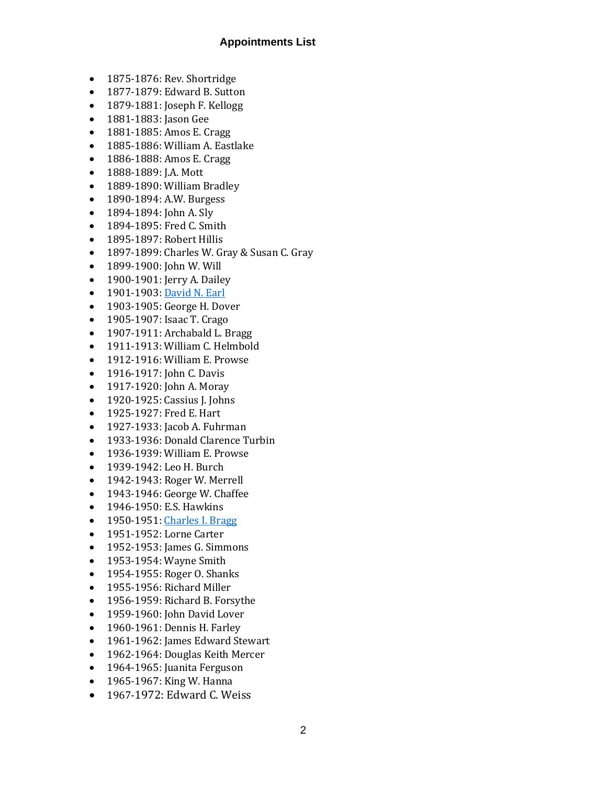#### **Appointments List**

- 1875-1876: Rev. Shortridge
- 1877-1879: Edward B. Sutton
- 1879-1881: Joseph F. Kellogg
- 1881-1883: Jason Gee
- 1881-1885: Amos E. Cragg
- 1885-1886: William A. Eastlake
- 1886-1888: Amos E. Cragg
- 1888-1889: J.A. Mott
- 1889-1890: William Bradley
- 1890-1894: A.W. Burgess
- 1894-1894: John A. Sly
- 1894-1895: Fred C. Smith
- 1895-1897: Robert Hillis
- 1897-1899: Charles W. Gray & Susan C. Gray
- 1899-1900: John W. Will
- 1900-1901: Jerry A. Dailey
- 1901-1903[: David N. Earl](http://umcarchives.adrian.edu/clergy/earldn.php)
- 1903-1905: George H. Dover
- 1905-1907: Isaac T. Crago
- 1907-1911: Archabald L. Bragg
- 1911-1913: William C. Helmbold
- 1912-1916: William E. Prowse
- 1916-1917: John C. Davis
- 1917-1920: John A. Moray
- 1920-1925: Cassius I. Johns
- 1925-1927: Fred E. Hart
- 1927-1933: Jacob A. Fuhrman
- 1933-1936: Donald Clarence Turbin
- 1936-1939: William E. Prowse
- 1939-1942: Leo H. Burch
- 1942-1943: Roger W. Merrell
- 1943-1946: George W. Chaffee
- 1946-1950: E.S. Hawkins
- 1950-1951[: Charles I. Bragg](http://umcarchives.adrian.edu/clergy/braggci.php)
- 1951-1952: Lorne Carter
- 1952-1953: James G. Simmons
- 1953-1954: Wayne Smith
- 1954-1955: Roger O. Shanks
- 1955-1956: Richard Miller
- 1956-1959: Richard B. Forsythe
- 1959-1960: John David Lover
- 1960-1961: Dennis H. Farley
- 1961-1962: James Edward Stewart
- 1962-1964: Douglas Keith Mercer
- 1964-1965: Juanita Ferguson
- 1965-1967: King W. Hanna
- 1967-1972: Edward C. Weiss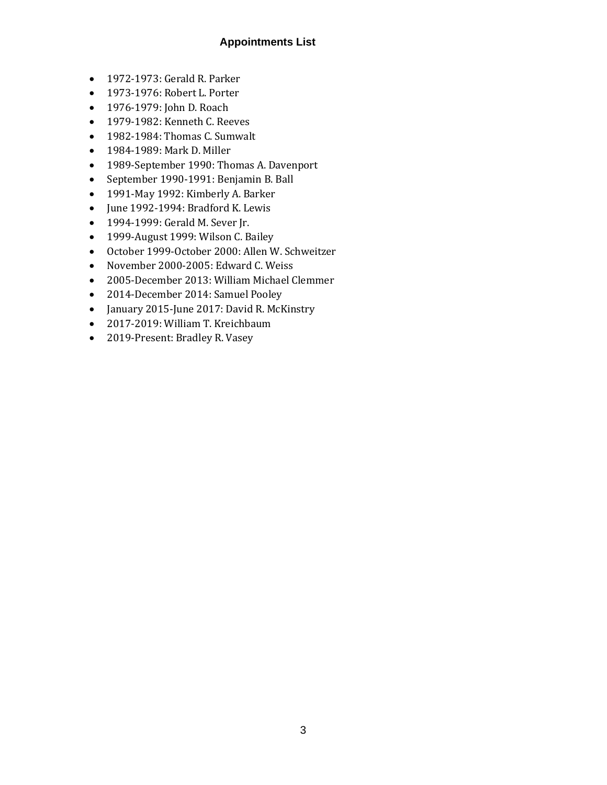#### **Appointments List**

- 1972-1973: Gerald R. Parker
- 1973-1976: Robert L. Porter
- 1976-1979: John D. Roach
- 1979-1982: Kenneth C. Reeves
- 1982-1984: Thomas C. Sumwalt
- 1984-1989: Mark D. Miller
- 1989-September 1990: Thomas A. Davenport
- September 1990-1991: Benjamin B. Ball
- 1991-May 1992: Kimberly A. Barker
- June 1992-1994: Bradford K. Lewis
- 1994-1999: Gerald M. Sever Jr.
- 1999-August 1999: Wilson C. Bailey
- October 1999-October 2000: Allen W. Schweitzer
- November 2000-2005: Edward C. Weiss
- 2005-December 2013: William Michael Clemmer
- 2014-December 2014: Samuel Pooley
- January 2015-June 2017: David R. McKinstry
- 2017-2019: William T. Kreichbaum
- 2019-Present: Bradley R. Vasey